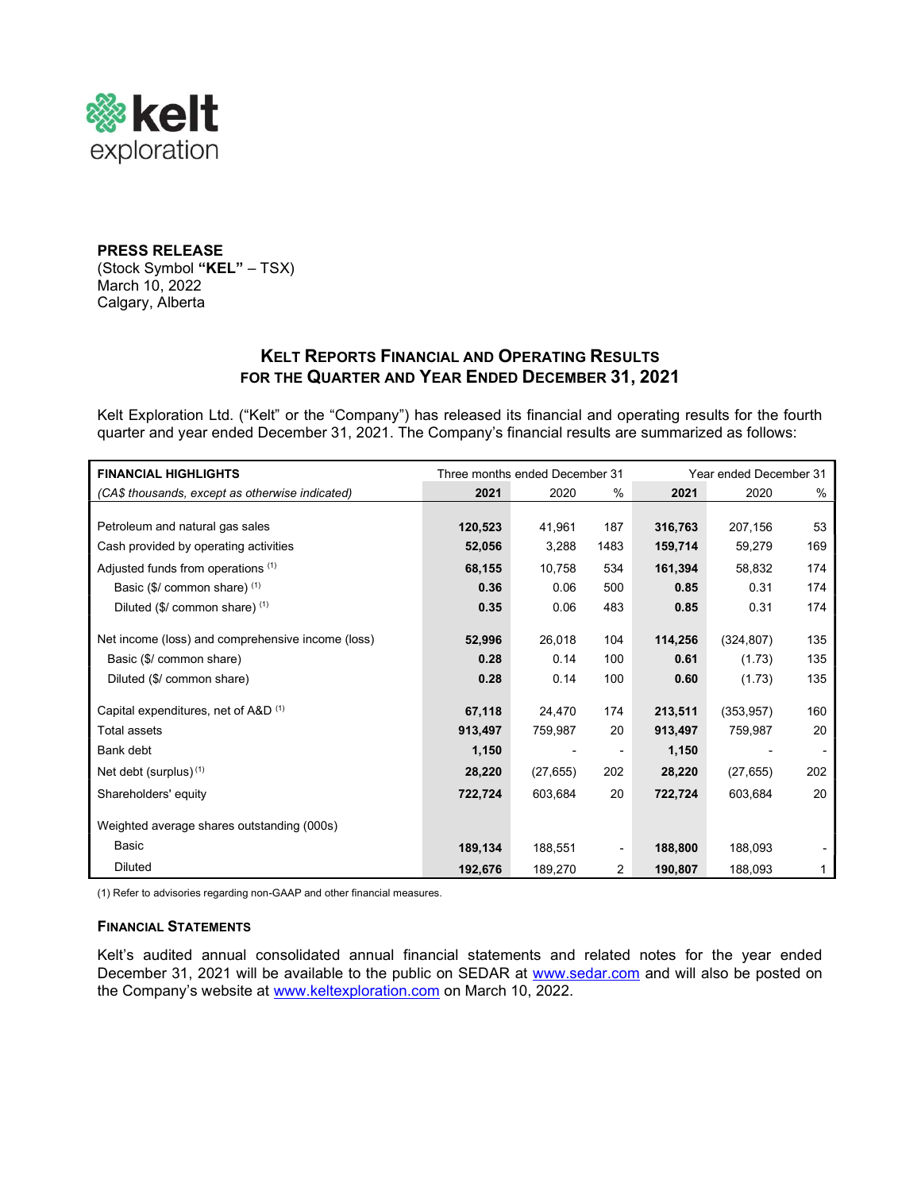

### PRESS RELEASE (Stock Symbol "KEL" – TSX) March 10, 2022 Calgary, Alberta

# KELT REPORTS FINANCIAL AND OPERATING RESULTS FOR THE QUARTER AND YEAR ENDED DECEMBER 31, 2021

Kelt Exploration Ltd. ("Kelt" or the "Company") has released its financial and operating results for the fourth quarter and year ended December 31, 2021. The Company's financial results are summarized as follows:

| <b>FINANCIAL HIGHLIGHTS</b>                       | Three months ended December 31 |           |                          | Year ended December 31 |            |      |
|---------------------------------------------------|--------------------------------|-----------|--------------------------|------------------------|------------|------|
| (CA\$ thousands, except as otherwise indicated)   | 2021                           | 2020      | $\%$                     | 2021                   | 2020       | $\%$ |
|                                                   |                                |           |                          |                        |            |      |
| Petroleum and natural gas sales                   | 120,523                        | 41,961    | 187                      | 316,763                | 207,156    | 53   |
| Cash provided by operating activities             | 52,056                         | 3,288     | 1483                     | 159,714                | 59,279     | 169  |
| Adjusted funds from operations (1)                | 68,155                         | 10,758    | 534                      | 161,394                | 58,832     | 174  |
| Basic $($/ common share)$ <sup>(1)</sup>          | 0.36                           | 0.06      | 500                      | 0.85                   | 0.31       | 174  |
| Diluted (\$/ common share) (1)                    | 0.35                           | 0.06      | 483                      | 0.85                   | 0.31       | 174  |
|                                                   |                                |           |                          |                        |            |      |
| Net income (loss) and comprehensive income (loss) | 52,996                         | 26,018    | 104                      | 114,256                | (324, 807) | 135  |
| Basic (\$/ common share)                          | 0.28                           | 0.14      | 100                      | 0.61                   | (1.73)     | 135  |
| Diluted (\$/ common share)                        | 0.28                           | 0.14      | 100                      | 0.60                   | (1.73)     | 135  |
|                                                   |                                |           |                          |                        |            |      |
| Capital expenditures, net of A&D <sup>(1)</sup>   | 67,118                         | 24,470    | 174                      | 213,511                | (353, 957) | 160  |
| <b>Total assets</b>                               | 913,497                        | 759,987   | 20                       | 913,497                | 759,987    | 20   |
| Bank debt                                         | 1,150                          |           | $\overline{\phantom{0}}$ | 1,150                  |            |      |
| Net debt (surplus) <sup>(1)</sup>                 | 28,220                         | (27, 655) | 202                      | 28,220                 | (27, 655)  | 202  |
| Shareholders' equity                              | 722,724                        | 603,684   | 20                       | 722,724                | 603,684    | 20   |
| Weighted average shares outstanding (000s)        |                                |           |                          |                        |            |      |
| <b>Basic</b>                                      | 189,134                        | 188,551   | $\overline{\phantom{a}}$ | 188,800                | 188,093    |      |
| <b>Diluted</b>                                    | 192,676                        | 189,270   | $\overline{2}$           | 190,807                | 188,093    | 1    |

(1) Refer to advisories regarding non-GAAP and other financial measures.

### FINANCIAL STATEMENTS

Kelt's audited annual consolidated annual financial statements and related notes for the year ended December 31, 2021 will be available to the public on SEDAR at www.sedar.com and will also be posted on the Company's website at www.keltexploration.com on March 10, 2022.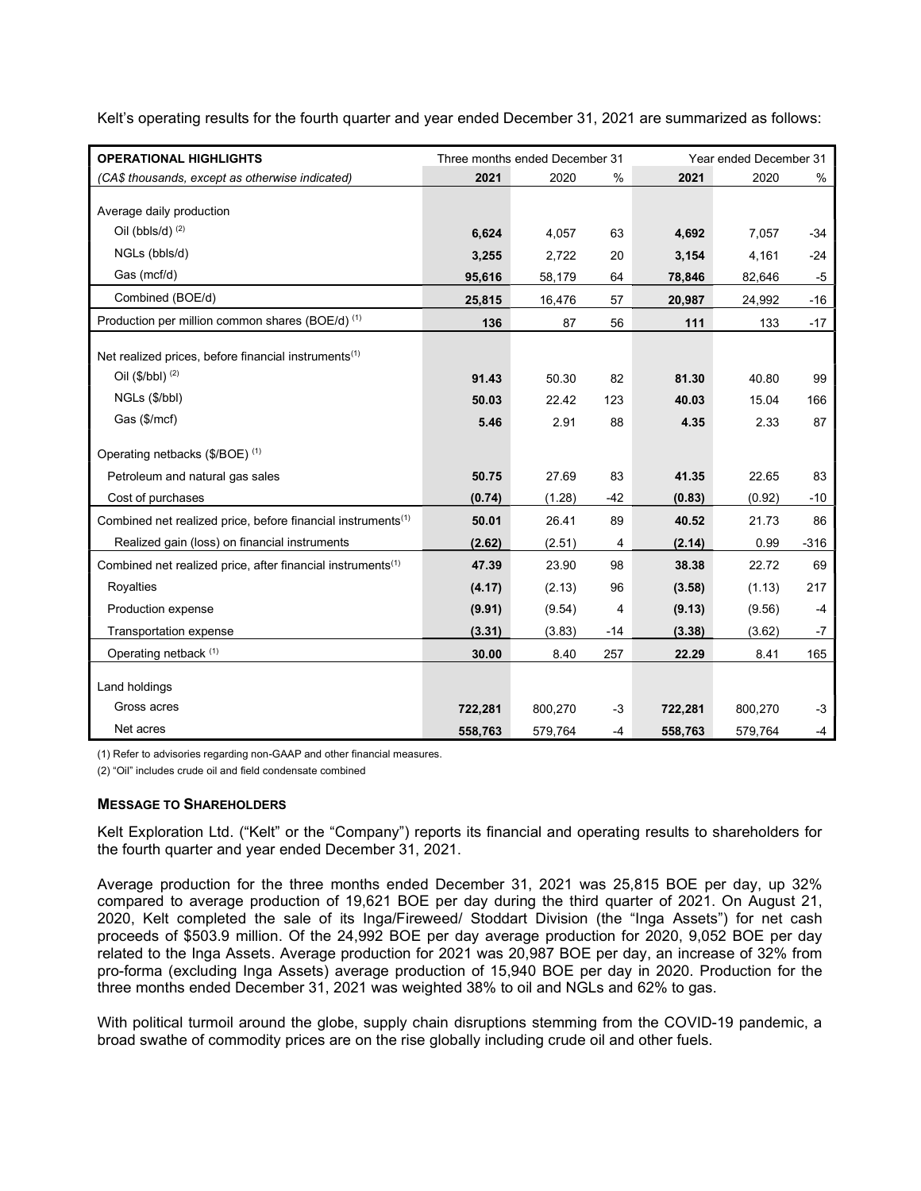Kelt's operating results for the fourth quarter and year ended December 31, 2021 are summarized as follows:

| <b>OPERATIONAL HIGHLIGHTS</b>                                            | Three months ended December 31 |         |       |         | Year ended December 31 |        |  |
|--------------------------------------------------------------------------|--------------------------------|---------|-------|---------|------------------------|--------|--|
| (CA\$ thousands, except as otherwise indicated)                          | 2021                           | 2020    | $\%$  | 2021    | 2020                   | %      |  |
|                                                                          |                                |         |       |         |                        |        |  |
| Average daily production                                                 |                                |         |       |         |                        |        |  |
| Oil (bbls/d) $(2)$                                                       | 6,624                          | 4,057   | 63    | 4,692   | 7,057                  | $-34$  |  |
| NGLs (bbls/d)                                                            | 3,255                          | 2,722   | 20    | 3,154   | 4,161                  | $-24$  |  |
| Gas (mcf/d)                                                              | 95,616                         | 58,179  | 64    | 78,846  | 82,646                 | -5     |  |
| Combined (BOE/d)                                                         | 25,815                         | 16,476  | 57    | 20,987  | 24,992                 | -16    |  |
| Production per million common shares (BOE/d) (1)                         | 136                            | 87      | 56    | 111     | 133                    | $-17$  |  |
| Net realized prices, before financial instruments <sup>(1)</sup>         |                                |         |       |         |                        |        |  |
| Oil $(\frac{6}{b})^{(2)}$                                                | 91.43                          | 50.30   | 82    | 81.30   | 40.80                  | 99     |  |
| NGLs (\$/bbl)                                                            | 50.03                          | 22.42   | 123   | 40.03   | 15.04                  | 166    |  |
| Gas (\$/mcf)                                                             | 5.46                           | 2.91    | 88    | 4.35    | 2.33                   | 87     |  |
|                                                                          |                                |         |       |         |                        |        |  |
| Operating netbacks (\$/BOE) (1)                                          |                                |         |       |         |                        |        |  |
| Petroleum and natural gas sales                                          | 50.75                          | 27.69   | 83    | 41.35   | 22.65                  | 83     |  |
| Cost of purchases                                                        | (0.74)                         | (1.28)  | $-42$ | (0.83)  | (0.92)                 | $-10$  |  |
| Combined net realized price, before financial instruments <sup>(1)</sup> | 50.01                          | 26.41   | 89    | 40.52   | 21.73                  | 86     |  |
| Realized gain (loss) on financial instruments                            | (2.62)                         | (2.51)  | 4     | (2.14)  | 0.99                   | $-316$ |  |
| Combined net realized price, after financial instruments <sup>(1)</sup>  | 47.39                          | 23.90   | 98    | 38.38   | 22.72                  | 69     |  |
| Royalties                                                                | (4.17)                         | (2.13)  | 96    | (3.58)  | (1.13)                 | 217    |  |
| Production expense                                                       | (9.91)                         | (9.54)  | 4     | (9.13)  | (9.56)                 | $-4$   |  |
| Transportation expense                                                   | (3.31)                         | (3.83)  | $-14$ | (3.38)  | (3.62)                 | $-7$   |  |
| Operating netback (1)                                                    | 30.00                          | 8.40    | 257   | 22.29   | 8.41                   | 165    |  |
| Land holdings                                                            |                                |         |       |         |                        |        |  |
| Gross acres                                                              | 722,281                        | 800,270 | -3    | 722,281 | 800,270                | $-3$   |  |
| Net acres                                                                | 558,763                        | 579,764 | -4    | 558,763 | 579,764                | -4     |  |

(1) Refer to advisories regarding non-GAAP and other financial measures.

(2) "Oil" includes crude oil and field condensate combined

#### MESSAGE TO SHAREHOLDERS

Kelt Exploration Ltd. ("Kelt" or the "Company") reports its financial and operating results to shareholders for the fourth quarter and year ended December 31, 2021.

Average production for the three months ended December 31, 2021 was 25,815 BOE per day, up 32% compared to average production of 19,621 BOE per day during the third quarter of 2021. On August 21, 2020, Kelt completed the sale of its Inga/Fireweed/ Stoddart Division (the "Inga Assets") for net cash proceeds of \$503.9 million. Of the 24,992 BOE per day average production for 2020, 9,052 BOE per day related to the Inga Assets. Average production for 2021 was 20,987 BOE per day, an increase of 32% from pro-forma (excluding Inga Assets) average production of 15,940 BOE per day in 2020. Production for the three months ended December 31, 2021 was weighted 38% to oil and NGLs and 62% to gas.

With political turmoil around the globe, supply chain disruptions stemming from the COVID-19 pandemic, a broad swathe of commodity prices are on the rise globally including crude oil and other fuels.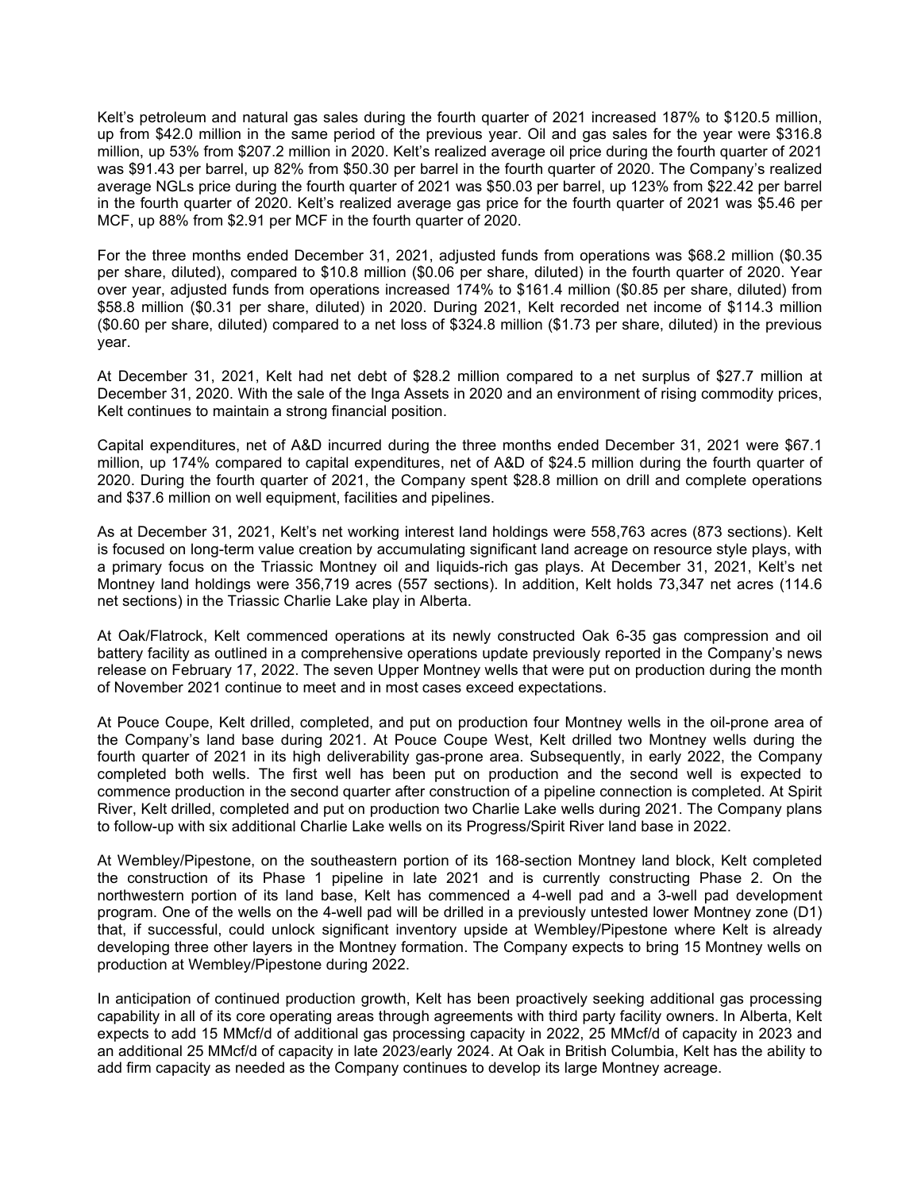Kelt's petroleum and natural gas sales during the fourth quarter of 2021 increased 187% to \$120.5 million, up from \$42.0 million in the same period of the previous year. Oil and gas sales for the year were \$316.8 million, up 53% from \$207.2 million in 2020. Kelt's realized average oil price during the fourth quarter of 2021 was \$91.43 per barrel, up 82% from \$50.30 per barrel in the fourth quarter of 2020. The Company's realized average NGLs price during the fourth quarter of 2021 was \$50.03 per barrel, up 123% from \$22.42 per barrel in the fourth quarter of 2020. Kelt's realized average gas price for the fourth quarter of 2021 was \$5.46 per MCF, up 88% from \$2.91 per MCF in the fourth quarter of 2020.

For the three months ended December 31, 2021, adjusted funds from operations was \$68.2 million (\$0.35 per share, diluted), compared to \$10.8 million (\$0.06 per share, diluted) in the fourth quarter of 2020. Year over year, adjusted funds from operations increased 174% to \$161.4 million (\$0.85 per share, diluted) from \$58.8 million (\$0.31 per share, diluted) in 2020. During 2021, Kelt recorded net income of \$114.3 million (\$0.60 per share, diluted) compared to a net loss of \$324.8 million (\$1.73 per share, diluted) in the previous year.

At December 31, 2021, Kelt had net debt of \$28.2 million compared to a net surplus of \$27.7 million at December 31, 2020. With the sale of the Inga Assets in 2020 and an environment of rising commodity prices, Kelt continues to maintain a strong financial position.

Capital expenditures, net of A&D incurred during the three months ended December 31, 2021 were \$67.1 million, up 174% compared to capital expenditures, net of A&D of \$24.5 million during the fourth quarter of 2020. During the fourth quarter of 2021, the Company spent \$28.8 million on drill and complete operations and \$37.6 million on well equipment, facilities and pipelines.

As at December 31, 2021, Kelt's net working interest land holdings were 558,763 acres (873 sections). Kelt is focused on long-term value creation by accumulating significant land acreage on resource style plays, with a primary focus on the Triassic Montney oil and liquids-rich gas plays. At December 31, 2021, Kelt's net Montney land holdings were 356,719 acres (557 sections). In addition, Kelt holds 73,347 net acres (114.6 net sections) in the Triassic Charlie Lake play in Alberta.

At Oak/Flatrock, Kelt commenced operations at its newly constructed Oak 6-35 gas compression and oil battery facility as outlined in a comprehensive operations update previously reported in the Company's news release on February 17, 2022. The seven Upper Montney wells that were put on production during the month of November 2021 continue to meet and in most cases exceed expectations.

At Pouce Coupe, Kelt drilled, completed, and put on production four Montney wells in the oil-prone area of the Company's land base during 2021. At Pouce Coupe West, Kelt drilled two Montney wells during the fourth quarter of 2021 in its high deliverability gas-prone area. Subsequently, in early 2022, the Company completed both wells. The first well has been put on production and the second well is expected to commence production in the second quarter after construction of a pipeline connection is completed. At Spirit River, Kelt drilled, completed and put on production two Charlie Lake wells during 2021. The Company plans to follow-up with six additional Charlie Lake wells on its Progress/Spirit River land base in 2022.

At Wembley/Pipestone, on the southeastern portion of its 168-section Montney land block, Kelt completed the construction of its Phase 1 pipeline in late 2021 and is currently constructing Phase 2. On the northwestern portion of its land base, Kelt has commenced a 4-well pad and a 3-well pad development program. One of the wells on the 4-well pad will be drilled in a previously untested lower Montney zone (D1) that, if successful, could unlock significant inventory upside at Wembley/Pipestone where Kelt is already developing three other layers in the Montney formation. The Company expects to bring 15 Montney wells on production at Wembley/Pipestone during 2022.

In anticipation of continued production growth, Kelt has been proactively seeking additional gas processing capability in all of its core operating areas through agreements with third party facility owners. In Alberta, Kelt expects to add 15 MMcf/d of additional gas processing capacity in 2022, 25 MMcf/d of capacity in 2023 and an additional 25 MMcf/d of capacity in late 2023/early 2024. At Oak in British Columbia, Kelt has the ability to add firm capacity as needed as the Company continues to develop its large Montney acreage.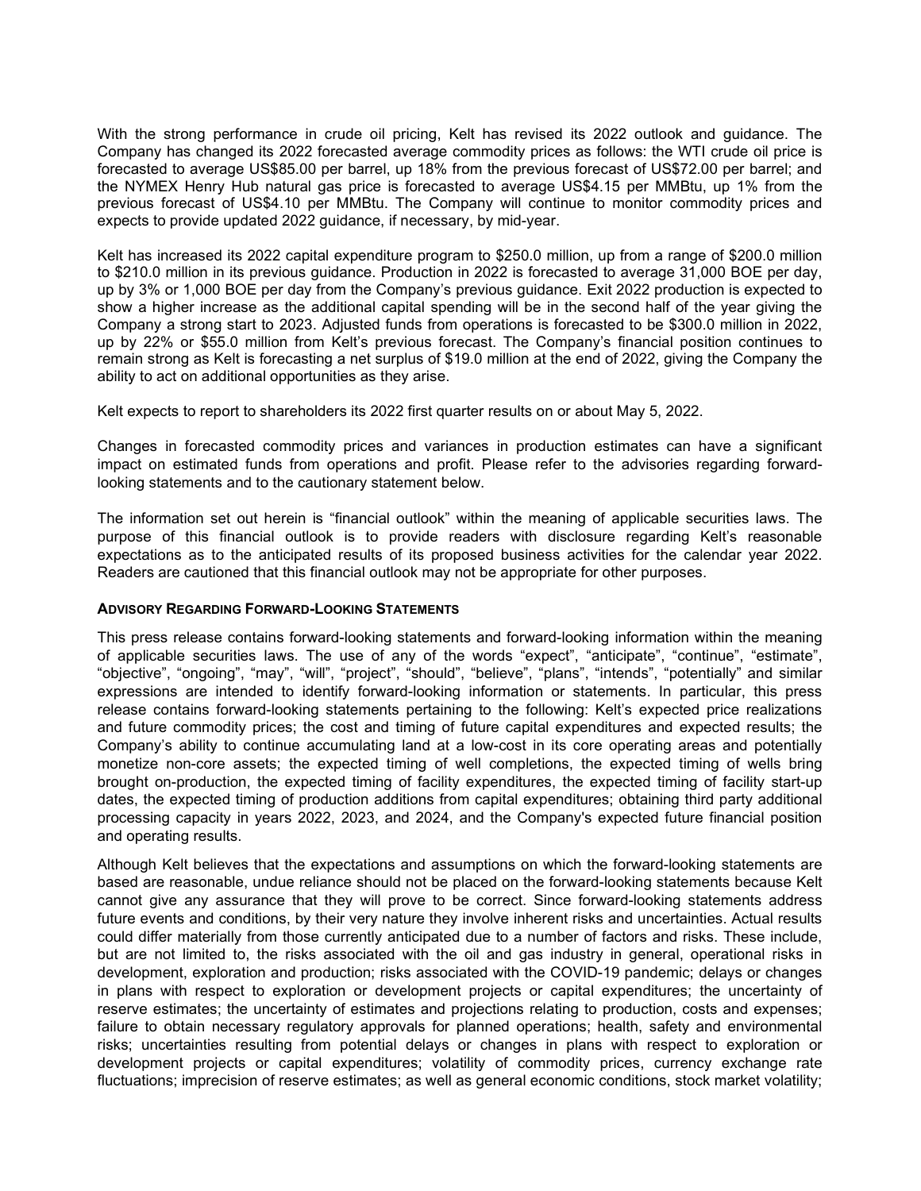With the strong performance in crude oil pricing, Kelt has revised its 2022 outlook and guidance. The Company has changed its 2022 forecasted average commodity prices as follows: the WTI crude oil price is forecasted to average US\$85.00 per barrel, up 18% from the previous forecast of US\$72.00 per barrel; and the NYMEX Henry Hub natural gas price is forecasted to average US\$4.15 per MMBtu, up 1% from the previous forecast of US\$4.10 per MMBtu. The Company will continue to monitor commodity prices and expects to provide updated 2022 guidance, if necessary, by mid-year.

Kelt has increased its 2022 capital expenditure program to \$250.0 million, up from a range of \$200.0 million to \$210.0 million in its previous guidance. Production in 2022 is forecasted to average 31,000 BOE per day, up by 3% or 1,000 BOE per day from the Company's previous guidance. Exit 2022 production is expected to show a higher increase as the additional capital spending will be in the second half of the year giving the Company a strong start to 2023. Adjusted funds from operations is forecasted to be \$300.0 million in 2022, up by 22% or \$55.0 million from Kelt's previous forecast. The Company's financial position continues to remain strong as Kelt is forecasting a net surplus of \$19.0 million at the end of 2022, giving the Company the ability to act on additional opportunities as they arise.

Kelt expects to report to shareholders its 2022 first quarter results on or about May 5, 2022.

Changes in forecasted commodity prices and variances in production estimates can have a significant impact on estimated funds from operations and profit. Please refer to the advisories regarding forwardlooking statements and to the cautionary statement below.

The information set out herein is "financial outlook" within the meaning of applicable securities laws. The purpose of this financial outlook is to provide readers with disclosure regarding Kelt's reasonable expectations as to the anticipated results of its proposed business activities for the calendar year 2022. Readers are cautioned that this financial outlook may not be appropriate for other purposes.

#### ADVISORY REGARDING FORWARD-LOOKING STATEMENTS

This press release contains forward-looking statements and forward-looking information within the meaning of applicable securities laws. The use of any of the words "expect", "anticipate", "continue", "estimate", "objective", "ongoing", "may", "will", "project", "should", "believe", "plans", "intends", "potentially" and similar expressions are intended to identify forward-looking information or statements. In particular, this press release contains forward-looking statements pertaining to the following: Kelt's expected price realizations and future commodity prices; the cost and timing of future capital expenditures and expected results; the Company's ability to continue accumulating land at a low-cost in its core operating areas and potentially monetize non-core assets; the expected timing of well completions, the expected timing of wells bring brought on-production, the expected timing of facility expenditures, the expected timing of facility start-up dates, the expected timing of production additions from capital expenditures; obtaining third party additional processing capacity in years 2022, 2023, and 2024, and the Company's expected future financial position and operating results.

Although Kelt believes that the expectations and assumptions on which the forward-looking statements are based are reasonable, undue reliance should not be placed on the forward-looking statements because Kelt cannot give any assurance that they will prove to be correct. Since forward-looking statements address future events and conditions, by their very nature they involve inherent risks and uncertainties. Actual results could differ materially from those currently anticipated due to a number of factors and risks. These include, but are not limited to, the risks associated with the oil and gas industry in general, operational risks in development, exploration and production; risks associated with the COVID-19 pandemic; delays or changes in plans with respect to exploration or development projects or capital expenditures; the uncertainty of reserve estimates; the uncertainty of estimates and projections relating to production, costs and expenses; failure to obtain necessary regulatory approvals for planned operations; health, safety and environmental risks; uncertainties resulting from potential delays or changes in plans with respect to exploration or development projects or capital expenditures; volatility of commodity prices, currency exchange rate fluctuations; imprecision of reserve estimates; as well as general economic conditions, stock market volatility;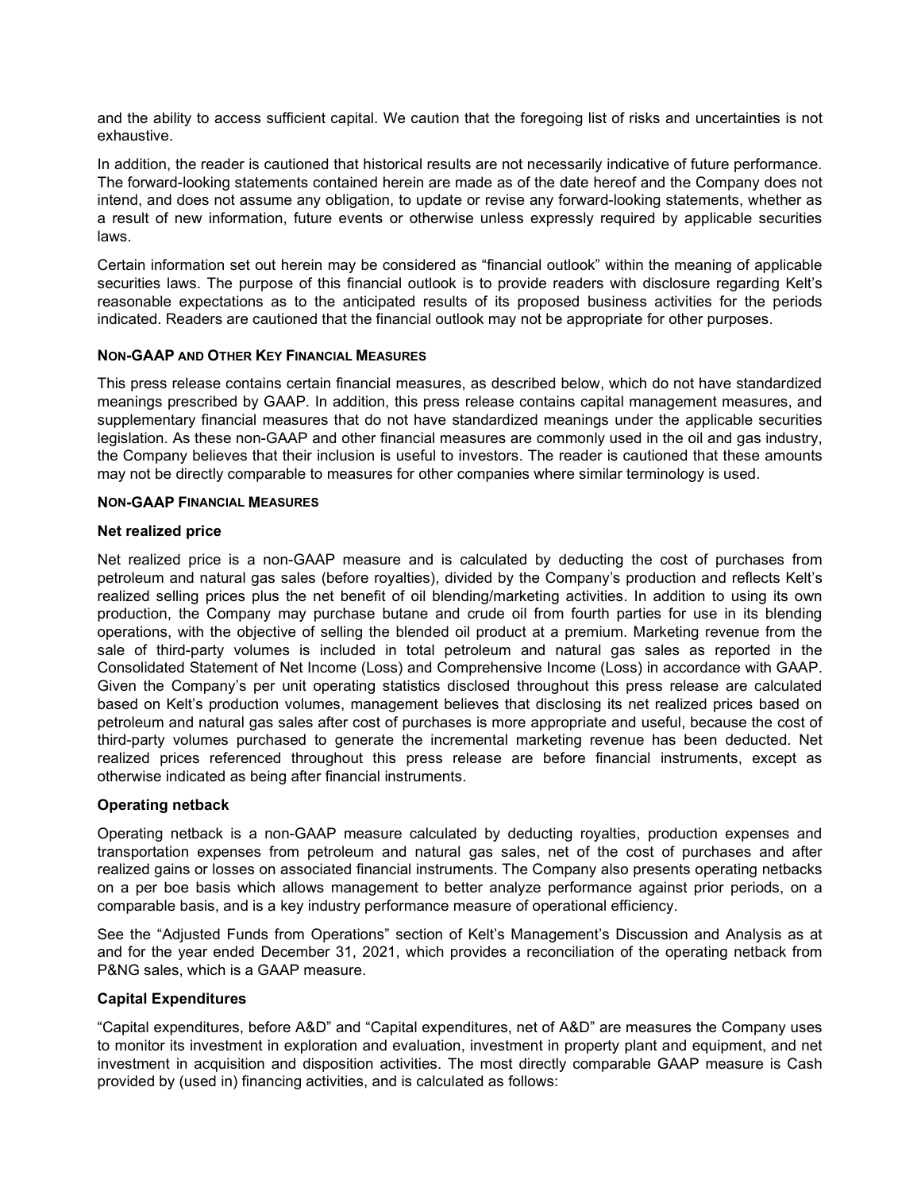and the ability to access sufficient capital. We caution that the foregoing list of risks and uncertainties is not exhaustive.

In addition, the reader is cautioned that historical results are not necessarily indicative of future performance. The forward-looking statements contained herein are made as of the date hereof and the Company does not intend, and does not assume any obligation, to update or revise any forward-looking statements, whether as a result of new information, future events or otherwise unless expressly required by applicable securities laws.

Certain information set out herein may be considered as "financial outlook" within the meaning of applicable securities laws. The purpose of this financial outlook is to provide readers with disclosure regarding Kelt's reasonable expectations as to the anticipated results of its proposed business activities for the periods indicated. Readers are cautioned that the financial outlook may not be appropriate for other purposes.

### NON-GAAP AND OTHER KEY FINANCIAL MEASURES

This press release contains certain financial measures, as described below, which do not have standardized meanings prescribed by GAAP. In addition, this press release contains capital management measures, and supplementary financial measures that do not have standardized meanings under the applicable securities legislation. As these non-GAAP and other financial measures are commonly used in the oil and gas industry, the Company believes that their inclusion is useful to investors. The reader is cautioned that these amounts may not be directly comparable to measures for other companies where similar terminology is used.

#### NON-GAAP FINANCIAL MEASURES

### Net realized price

Net realized price is a non-GAAP measure and is calculated by deducting the cost of purchases from petroleum and natural gas sales (before royalties), divided by the Company's production and reflects Kelt's realized selling prices plus the net benefit of oil blending/marketing activities. In addition to using its own production, the Company may purchase butane and crude oil from fourth parties for use in its blending operations, with the objective of selling the blended oil product at a premium. Marketing revenue from the sale of third-party volumes is included in total petroleum and natural gas sales as reported in the Consolidated Statement of Net Income (Loss) and Comprehensive Income (Loss) in accordance with GAAP. Given the Company's per unit operating statistics disclosed throughout this press release are calculated based on Kelt's production volumes, management believes that disclosing its net realized prices based on petroleum and natural gas sales after cost of purchases is more appropriate and useful, because the cost of third-party volumes purchased to generate the incremental marketing revenue has been deducted. Net realized prices referenced throughout this press release are before financial instruments, except as otherwise indicated as being after financial instruments.

### Operating netback

Operating netback is a non-GAAP measure calculated by deducting royalties, production expenses and transportation expenses from petroleum and natural gas sales, net of the cost of purchases and after realized gains or losses on associated financial instruments. The Company also presents operating netbacks on a per boe basis which allows management to better analyze performance against prior periods, on a comparable basis, and is a key industry performance measure of operational efficiency.

See the "Adjusted Funds from Operations" section of Kelt's Management's Discussion and Analysis as at and for the year ended December 31, 2021, which provides a reconciliation of the operating netback from P&NG sales, which is a GAAP measure.

### Capital Expenditures

"Capital expenditures, before A&D" and "Capital expenditures, net of A&D" are measures the Company uses to monitor its investment in exploration and evaluation, investment in property plant and equipment, and net investment in acquisition and disposition activities. The most directly comparable GAAP measure is Cash provided by (used in) financing activities, and is calculated as follows: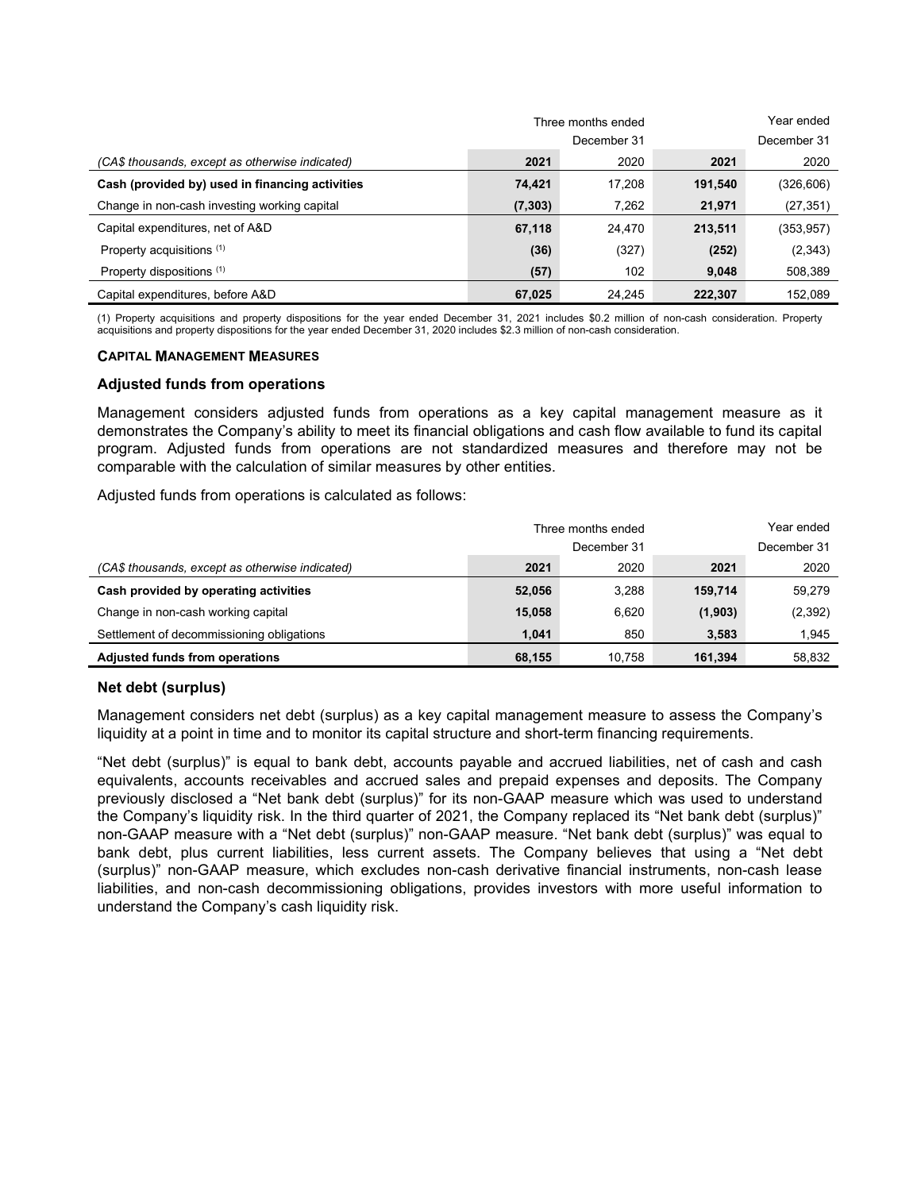|                                                 |          | Three months ended | Year ended  |            |  |
|-------------------------------------------------|----------|--------------------|-------------|------------|--|
|                                                 |          | December 31        | December 31 |            |  |
| (CA\$ thousands, except as otherwise indicated) | 2021     | 2020               | 2021        | 2020       |  |
| Cash (provided by) used in financing activities | 74,421   | 17.208             | 191,540     | (326, 606) |  |
| Change in non-cash investing working capital    | (7, 303) | 7,262              | 21,971      | (27,351)   |  |
| Capital expenditures, net of A&D                | 67,118   | 24.470             | 213,511     | (353, 957) |  |
| Property acquisitions (1)                       | (36)     | (327)              | (252)       | (2, 343)   |  |
| Property dispositions (1)                       | (57)     | 102                | 9,048       | 508,389    |  |
| Capital expenditures, before A&D                | 67,025   | 24.245             | 222.307     | 152.089    |  |

(1) Property acquisitions and property dispositions for the year ended December 31, 2021 includes \$0.2 million of non-cash consideration. Property acquisitions and property dispositions for the year ended December 31, 2020 includes \$2.3 million of non-cash consideration.

#### CAPITAL MANAGEMENT MEASURES

#### Adjusted funds from operations

Management considers adjusted funds from operations as a key capital management measure as it demonstrates the Company's ability to meet its financial obligations and cash flow available to fund its capital program. Adjusted funds from operations are not standardized measures and therefore may not be comparable with the calculation of similar measures by other entities.

Adjusted funds from operations is calculated as follows:

|                                                 |        | Three months ended | Year ended |             |  |
|-------------------------------------------------|--------|--------------------|------------|-------------|--|
|                                                 |        | December 31        |            | December 31 |  |
| (CA\$ thousands, except as otherwise indicated) | 2021   | 2020               | 2021       | 2020        |  |
| Cash provided by operating activities           | 52,056 | 3,288              | 159.714    | 59,279      |  |
| Change in non-cash working capital              | 15,058 | 6.620              | (1,903)    | (2, 392)    |  |
| Settlement of decommissioning obligations       | 1.041  | 850                | 3,583      | 1.945       |  |
| <b>Adjusted funds from operations</b>           | 68,155 | 10.758             | 161.394    | 58.832      |  |

#### Net debt (surplus)

Management considers net debt (surplus) as a key capital management measure to assess the Company's liquidity at a point in time and to monitor its capital structure and short-term financing requirements.

"Net debt (surplus)" is equal to bank debt, accounts payable and accrued liabilities, net of cash and cash equivalents, accounts receivables and accrued sales and prepaid expenses and deposits. The Company previously disclosed a "Net bank debt (surplus)" for its non-GAAP measure which was used to understand the Company's liquidity risk. In the third quarter of 2021, the Company replaced its "Net bank debt (surplus)" non-GAAP measure with a "Net debt (surplus)" non-GAAP measure. "Net bank debt (surplus)" was equal to bank debt, plus current liabilities, less current assets. The Company believes that using a "Net debt (surplus)" non-GAAP measure, which excludes non-cash derivative financial instruments, non-cash lease liabilities, and non-cash decommissioning obligations, provides investors with more useful information to understand the Company's cash liquidity risk.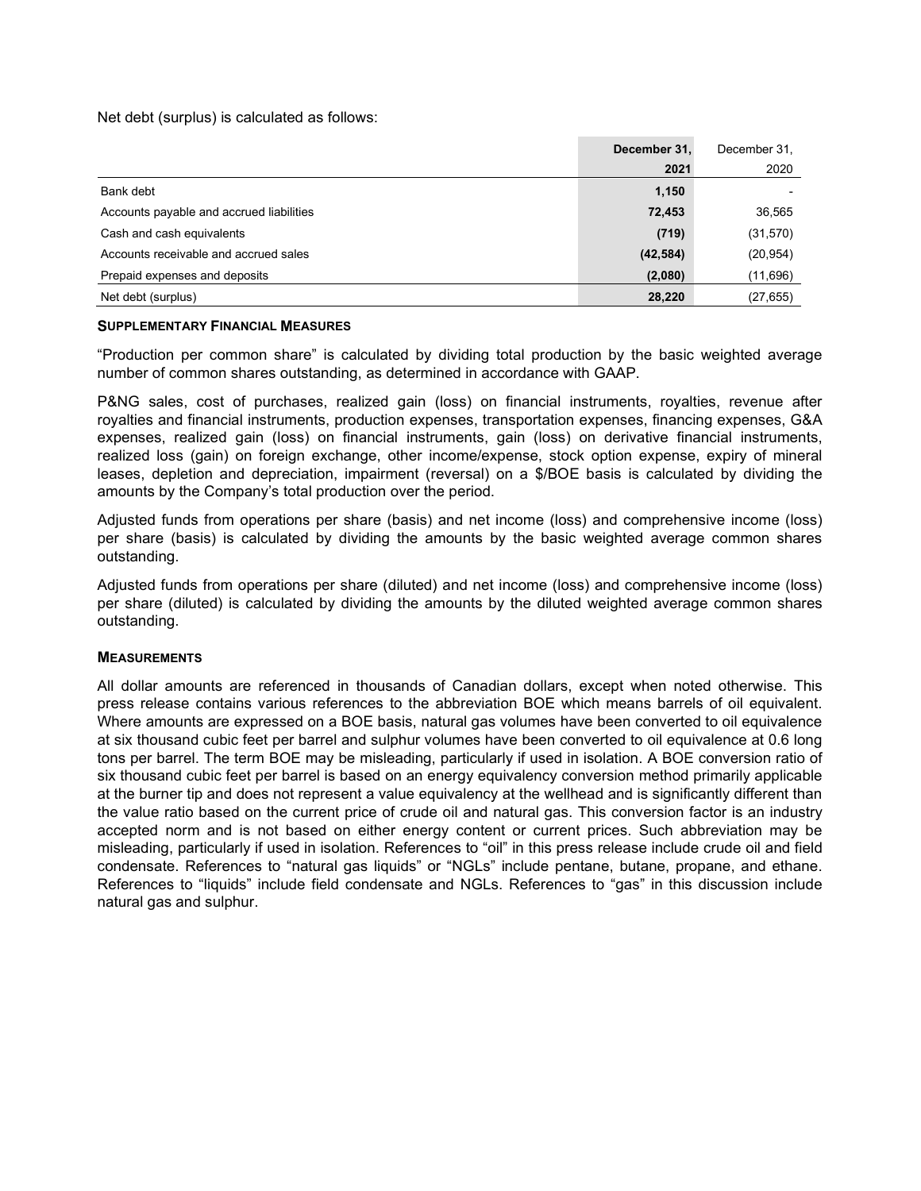Net debt (surplus) is calculated as follows:

|                                          | December 31, | December 31. |
|------------------------------------------|--------------|--------------|
|                                          | 2021         | 2020         |
| Bank debt                                | 1,150        |              |
| Accounts payable and accrued liabilities | 72,453       | 36,565       |
| Cash and cash equivalents                | (719)        | (31, 570)    |
| Accounts receivable and accrued sales    | (42, 584)    | (20, 954)    |
| Prepaid expenses and deposits            | (2,080)      | (11,696)     |
| Net debt (surplus)                       | 28,220       | (27, 655)    |

#### SUPPLEMENTARY FINANCIAL MEASURES

"Production per common share" is calculated by dividing total production by the basic weighted average number of common shares outstanding, as determined in accordance with GAAP.

P&NG sales, cost of purchases, realized gain (loss) on financial instruments, royalties, revenue after royalties and financial instruments, production expenses, transportation expenses, financing expenses, G&A expenses, realized gain (loss) on financial instruments, gain (loss) on derivative financial instruments, realized loss (gain) on foreign exchange, other income/expense, stock option expense, expiry of mineral leases, depletion and depreciation, impairment (reversal) on a \$/BOE basis is calculated by dividing the amounts by the Company's total production over the period.

Adjusted funds from operations per share (basis) and net income (loss) and comprehensive income (loss) per share (basis) is calculated by dividing the amounts by the basic weighted average common shares outstanding.

Adjusted funds from operations per share (diluted) and net income (loss) and comprehensive income (loss) per share (diluted) is calculated by dividing the amounts by the diluted weighted average common shares outstanding.

### **MEASUREMENTS**

All dollar amounts are referenced in thousands of Canadian dollars, except when noted otherwise. This press release contains various references to the abbreviation BOE which means barrels of oil equivalent. Where amounts are expressed on a BOE basis, natural gas volumes have been converted to oil equivalence at six thousand cubic feet per barrel and sulphur volumes have been converted to oil equivalence at 0.6 long tons per barrel. The term BOE may be misleading, particularly if used in isolation. A BOE conversion ratio of six thousand cubic feet per barrel is based on an energy equivalency conversion method primarily applicable at the burner tip and does not represent a value equivalency at the wellhead and is significantly different than the value ratio based on the current price of crude oil and natural gas. This conversion factor is an industry accepted norm and is not based on either energy content or current prices. Such abbreviation may be misleading, particularly if used in isolation. References to "oil" in this press release include crude oil and field condensate. References to "natural gas liquids" or "NGLs" include pentane, butane, propane, and ethane. References to "liquids" include field condensate and NGLs. References to "gas" in this discussion include natural gas and sulphur.